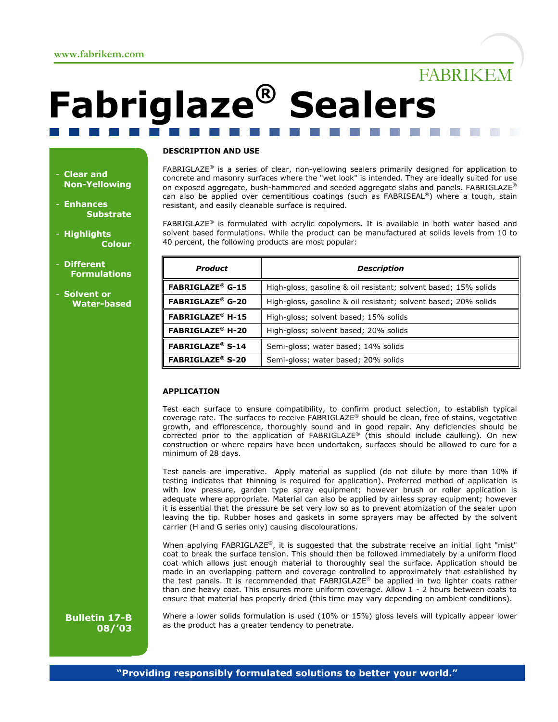# FABRIKEM

# **Fabriglaze® Sealers**

#### - **Clear and Non-Yellowing**

- **Enhances Substrate**
- **Highlights Colour**
- **Different Formulations**
- **Solvent or Water-based**

#### **DESCRIPTION AND USE**

FABRIGLAZE<sup>®</sup> is a series of clear, non-yellowing sealers primarily designed for application to concrete and masonry surfaces where the "wet look" is intended. They are ideally suited for use on exposed aggregate, bush-hammered and seeded aggregate slabs and panels. FABRIGLAZE® can also be applied over cementitious coatings (such as FABRISEAL®) where a tough, stain resistant, and easily cleanable surface is required.

 $FABRIGLAZE<sup>®</sup>$  is formulated with acrylic copolymers. It is available in both water based and solvent based formulations. While the product can be manufactured at solids levels from 10 to 40 percent, the following products are most popular:

| <b>Product</b>                     | <b>Description</b>                                              |
|------------------------------------|-----------------------------------------------------------------|
| <b>FABRIGLAZE<sup>®</sup> G-15</b> | High-gloss, gasoline & oil resistant; solvent based; 15% solids |
| <b>FABRIGLAZE<sup>®</sup> G-20</b> | High-gloss, gasoline & oil resistant; solvent based; 20% solids |
| <b>FABRIGLAZE<sup>®</sup> H-15</b> | High-gloss; solvent based; 15% solids                           |
| <b>FABRIGLAZE<sup>®</sup> H-20</b> | High-gloss; solvent based; 20% solids                           |
| <b>FABRIGLAZE<sup>®</sup> S-14</b> | Semi-gloss; water based; 14% solids                             |
| <b>FABRIGLAZE<sup>®</sup> S-20</b> | Semi-gloss; water based; 20% solids                             |

#### **APPLICATION**

Test each surface to ensure compatibility, to confirm product selection, to establish typical coverage rate. The surfaces to receive FABRIGLAZE® should be clean, free of stains, vegetative growth, and efflorescence, thoroughly sound and in good repair. Any deficiencies should be corrected prior to the application of  $FABRIGLAZE<sup>®</sup>$  (this should include caulking). On new construction or where repairs have been undertaken, surfaces should be allowed to cure for a minimum of 28 days.

Test panels are imperative. Apply material as supplied (do not dilute by more than 10% if testing indicates that thinning is required for application). Preferred method of application is with low pressure, garden type spray equipment; however brush or roller application is adequate where appropriate. Material can also be applied by airless spray equipment; however it is essential that the pressure be set very low so as to prevent atomization of the sealer upon leaving the tip. Rubber hoses and gaskets in some sprayers may be affected by the solvent carrier (H and G series only) causing discolourations.

When applying FABRIGLAZE<sup>®</sup>, it is suggested that the substrate receive an initial light "mist" coat to break the surface tension. This should then be followed immediately by a uniform flood coat which allows just enough material to thoroughly seal the surface. Application should be made in an overlapping pattern and coverage controlled to approximately that established by the test panels. It is recommended that FABRIGLAZE® be applied in two lighter coats rather than one heavy coat. This ensures more uniform coverage. Allow 1 - 2 hours between coats to ensure that material has properly dried (this time may vary depending on ambient conditions).

**Bulletin 17-B 08/'03**

Where a lower solids formulation is used (10% or 15%) gloss levels will typically appear lower as the product has a greater tendency to penetrate.